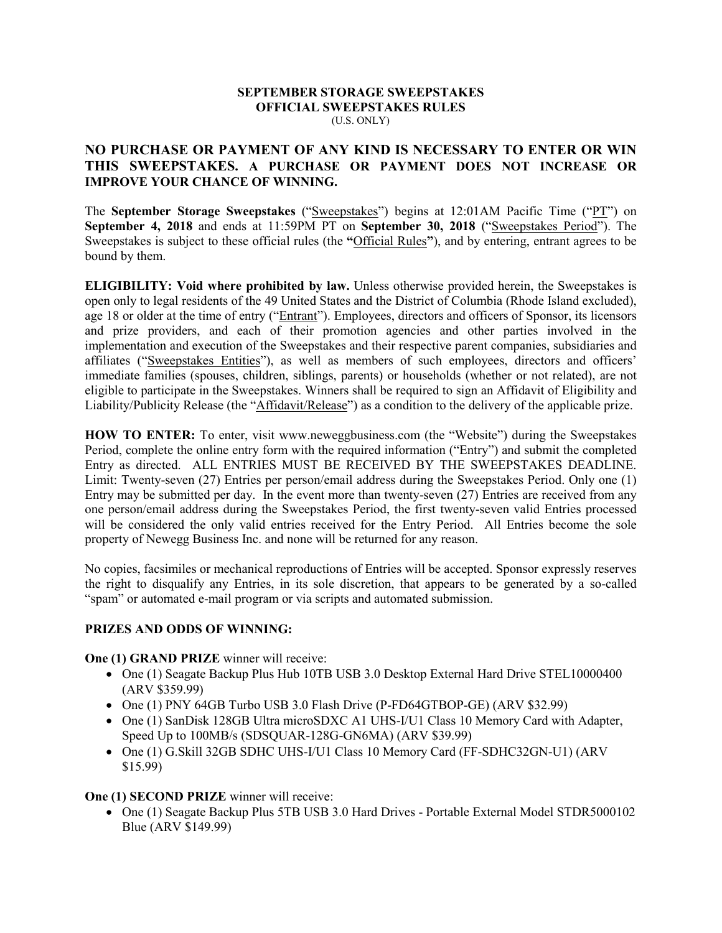#### **SEPTEMBER STORAGE SWEEPSTAKES OFFICIAL SWEEPSTAKES RULES**  (U.S. ONLY)

## **NO PURCHASE OR PAYMENT OF ANY KIND IS NECESSARY TO ENTER OR WIN THIS SWEEPSTAKES. A PURCHASE OR PAYMENT DOES NOT INCREASE OR IMPROVE YOUR CHANCE OF WINNING.**

The **September Storage Sweepstakes** ("Sweepstakes") begins at 12:01AM Pacific Time ("PT") on **September 4, 2018** and ends at 11:59PM PT on **September 30, 2018** ("Sweepstakes Period"). The Sweepstakes is subject to these official rules (the **"**Official Rules**"**), and by entering, entrant agrees to be bound by them.

**ELIGIBILITY: Void where prohibited by law.** Unless otherwise provided herein, the Sweepstakes is open only to legal residents of the 49 United States and the District of Columbia (Rhode Island excluded), age 18 or older at the time of entry ("Entrant"). Employees, directors and officers of Sponsor, its licensors and prize providers, and each of their promotion agencies and other parties involved in the implementation and execution of the Sweepstakes and their respective parent companies, subsidiaries and affiliates ("Sweepstakes Entities"), as well as members of such employees, directors and officers' immediate families (spouses, children, siblings, parents) or households (whether or not related), are not eligible to participate in the Sweepstakes. Winners shall be required to sign an Affidavit of Eligibility and Liability/Publicity Release (the "Affidavit/Release") as a condition to the delivery of the applicable prize.

**HOW TO ENTER:** To enter, visit www.neweggbusiness.com (the "Website") during the Sweepstakes Period, complete the online entry form with the required information ("Entry") and submit the completed Entry as directed. ALL ENTRIES MUST BE RECEIVED BY THE SWEEPSTAKES DEADLINE. Limit: Twenty-seven (27) Entries per person/email address during the Sweepstakes Period. Only one (1) Entry may be submitted per day. In the event more than twenty-seven (27) Entries are received from any one person/email address during the Sweepstakes Period, the first twenty-seven valid Entries processed will be considered the only valid entries received for the Entry Period. All Entries become the sole property of Newegg Business Inc. and none will be returned for any reason.

No copies, facsimiles or mechanical reproductions of Entries will be accepted. Sponsor expressly reserves the right to disqualify any Entries, in its sole discretion, that appears to be generated by a so-called "spam" or automated e-mail program or via scripts and automated submission.

### **PRIZES AND ODDS OF WINNING:**

### **One (1) GRAND PRIZE** winner will receive:

- One (1) Seagate Backup Plus Hub 10TB USB 3.0 Desktop External Hard Drive STEL10000400 (ARV \$359.99)
- One (1) PNY 64GB Turbo USB 3.0 Flash Drive (P-FD64GTBOP-GE) (ARV \$32.99)
- One (1) SanDisk 128GB Ultra microSDXC A1 UHS-I/U1 Class 10 Memory Card with Adapter, Speed Up to 100MB/s (SDSQUAR-128G-GN6MA) (ARV \$39.99)
- One (1) G.Skill 32GB SDHC UHS-I/U1 Class 10 Memory Card (FF-SDHC32GN-U1) (ARV \$15.99)

### **One (1) SECOND PRIZE** winner will receive:

• One (1) Seagate Backup Plus 5TB USB 3.0 Hard Drives - Portable External Model STDR5000102 Blue (ARV \$149.99)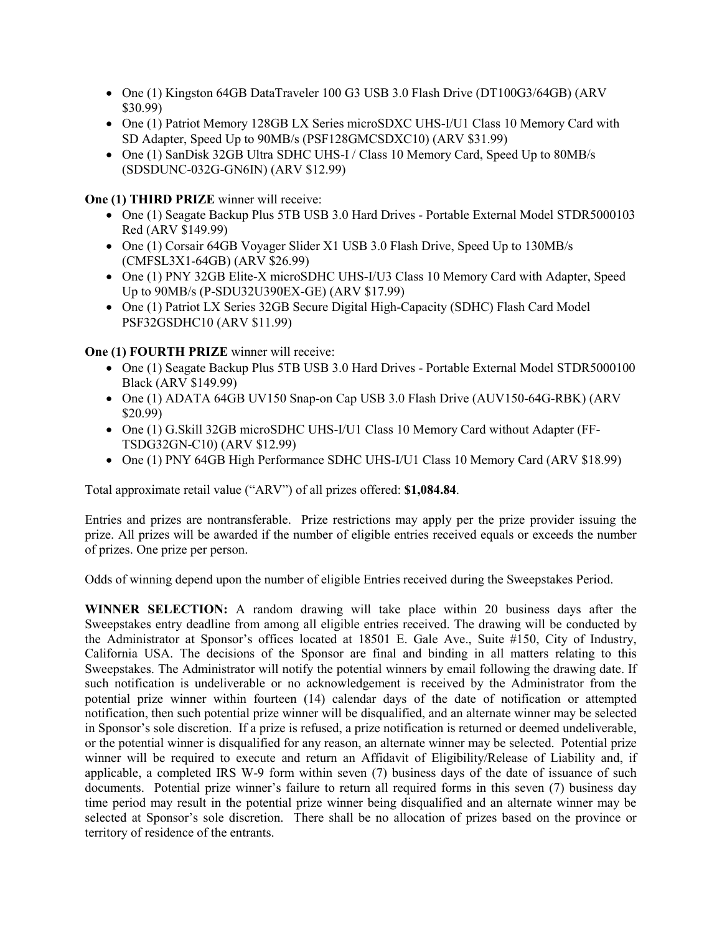- One (1) Kingston 64GB DataTraveler 100 G3 USB 3.0 Flash Drive (DT100G3/64GB) (ARV \$30.99)
- One (1) Patriot Memory 128GB LX Series microSDXC UHS-I/U1 Class 10 Memory Card with SD Adapter, Speed Up to 90MB/s (PSF128GMCSDXC10) (ARV \$31.99)
- One (1) SanDisk 32GB Ultra SDHC UHS-I / Class 10 Memory Card, Speed Up to 80MB/s (SDSDUNC-032G-GN6IN) (ARV \$12.99)

### **One (1) THIRD PRIZE** winner will receive:

- One (1) Seagate Backup Plus 5TB USB 3.0 Hard Drives Portable External Model STDR5000103 Red (ARV \$149.99)
- One (1) Corsair 64GB Voyager Slider X1 USB 3.0 Flash Drive, Speed Up to 130MB/s (CMFSL3X1-64GB) (ARV \$26.99)
- One (1) PNY 32GB Elite-X microSDHC UHS-I/U3 Class 10 Memory Card with Adapter, Speed Up to 90MB/s (P-SDU32U390EX-GE) (ARV \$17.99)
- One (1) Patriot LX Series 32GB Secure Digital High-Capacity (SDHC) Flash Card Model PSF32GSDHC10 (ARV \$11.99)

# **One (1) FOURTH PRIZE** winner will receive:

- One (1) Seagate Backup Plus 5TB USB 3.0 Hard Drives Portable External Model STDR5000100 Black (ARV \$149.99)
- One (1) ADATA 64GB UV150 Snap-on Cap USB 3.0 Flash Drive (AUV150-64G-RBK) (ARV \$20.99)
- One (1) G.Skill 32GB microSDHC UHS-I/U1 Class 10 Memory Card without Adapter (FF-TSDG32GN-C10) (ARV \$12.99)
- One (1) PNY 64GB High Performance SDHC UHS-I/U1 Class 10 Memory Card (ARV \$18.99)

Total approximate retail value ("ARV") of all prizes offered: **\$1,084.84**.

Entries and prizes are nontransferable. Prize restrictions may apply per the prize provider issuing the prize. All prizes will be awarded if the number of eligible entries received equals or exceeds the number of prizes. One prize per person.

Odds of winning depend upon the number of eligible Entries received during the Sweepstakes Period.

**WINNER SELECTION:** A random drawing will take place within 20 business days after the Sweepstakes entry deadline from among all eligible entries received. The drawing will be conducted by the Administrator at Sponsor's offices located at 18501 E. Gale Ave., Suite #150, City of Industry, California USA. The decisions of the Sponsor are final and binding in all matters relating to this Sweepstakes. The Administrator will notify the potential winners by email following the drawing date. If such notification is undeliverable or no acknowledgement is received by the Administrator from the potential prize winner within fourteen (14) calendar days of the date of notification or attempted notification, then such potential prize winner will be disqualified, and an alternate winner may be selected in Sponsor's sole discretion. If a prize is refused, a prize notification is returned or deemed undeliverable, or the potential winner is disqualified for any reason, an alternate winner may be selected. Potential prize winner will be required to execute and return an Affidavit of Eligibility/Release of Liability and, if applicable, a completed IRS W-9 form within seven (7) business days of the date of issuance of such documents. Potential prize winner's failure to return all required forms in this seven (7) business day time period may result in the potential prize winner being disqualified and an alternate winner may be selected at Sponsor's sole discretion. There shall be no allocation of prizes based on the province or territory of residence of the entrants.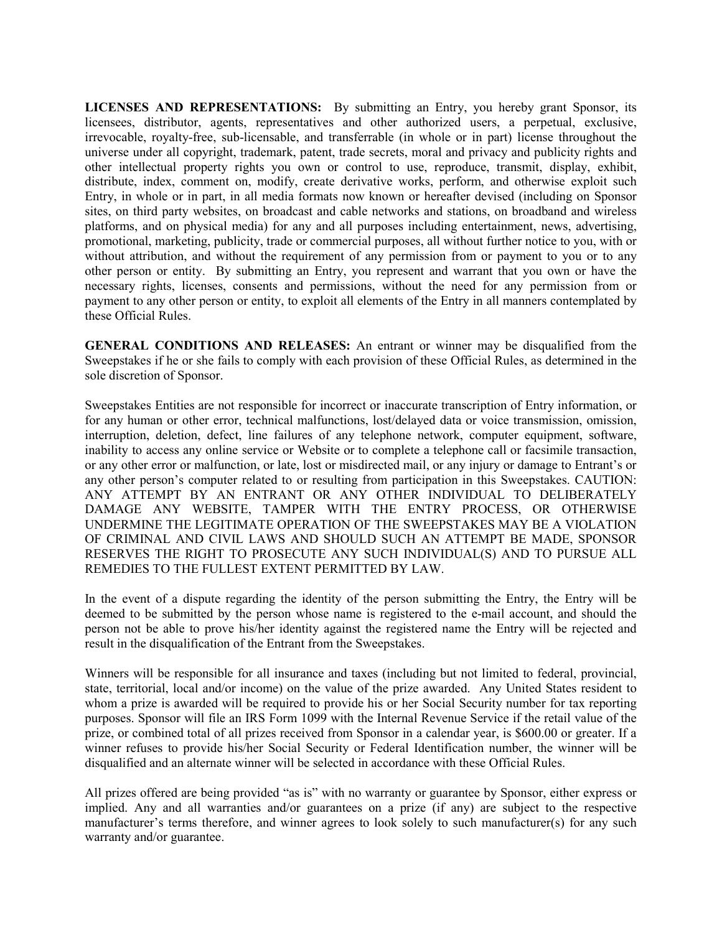**LICENSES AND REPRESENTATIONS:** By submitting an Entry, you hereby grant Sponsor, its licensees, distributor, agents, representatives and other authorized users, a perpetual, exclusive, irrevocable, royalty-free, sub-licensable, and transferrable (in whole or in part) license throughout the universe under all copyright, trademark, patent, trade secrets, moral and privacy and publicity rights and other intellectual property rights you own or control to use, reproduce, transmit, display, exhibit, distribute, index, comment on, modify, create derivative works, perform, and otherwise exploit such Entry, in whole or in part, in all media formats now known or hereafter devised (including on Sponsor sites, on third party websites, on broadcast and cable networks and stations, on broadband and wireless platforms, and on physical media) for any and all purposes including entertainment, news, advertising, promotional, marketing, publicity, trade or commercial purposes, all without further notice to you, with or without attribution, and without the requirement of any permission from or payment to you or to any other person or entity. By submitting an Entry, you represent and warrant that you own or have the necessary rights, licenses, consents and permissions, without the need for any permission from or payment to any other person or entity, to exploit all elements of the Entry in all manners contemplated by these Official Rules.

**GENERAL CONDITIONS AND RELEASES:** An entrant or winner may be disqualified from the Sweepstakes if he or she fails to comply with each provision of these Official Rules, as determined in the sole discretion of Sponsor.

Sweepstakes Entities are not responsible for incorrect or inaccurate transcription of Entry information, or for any human or other error, technical malfunctions, lost/delayed data or voice transmission, omission, interruption, deletion, defect, line failures of any telephone network, computer equipment, software, inability to access any online service or Website or to complete a telephone call or facsimile transaction, or any other error or malfunction, or late, lost or misdirected mail, or any injury or damage to Entrant's or any other person's computer related to or resulting from participation in this Sweepstakes. CAUTION: ANY ATTEMPT BY AN ENTRANT OR ANY OTHER INDIVIDUAL TO DELIBERATELY DAMAGE ANY WEBSITE, TAMPER WITH THE ENTRY PROCESS, OR OTHERWISE UNDERMINE THE LEGITIMATE OPERATION OF THE SWEEPSTAKES MAY BE A VIOLATION OF CRIMINAL AND CIVIL LAWS AND SHOULD SUCH AN ATTEMPT BE MADE, SPONSOR RESERVES THE RIGHT TO PROSECUTE ANY SUCH INDIVIDUAL(S) AND TO PURSUE ALL REMEDIES TO THE FULLEST EXTENT PERMITTED BY LAW.

In the event of a dispute regarding the identity of the person submitting the Entry, the Entry will be deemed to be submitted by the person whose name is registered to the e-mail account, and should the person not be able to prove his/her identity against the registered name the Entry will be rejected and result in the disqualification of the Entrant from the Sweepstakes.

Winners will be responsible for all insurance and taxes (including but not limited to federal, provincial, state, territorial, local and/or income) on the value of the prize awarded. Any United States resident to whom a prize is awarded will be required to provide his or her Social Security number for tax reporting purposes. Sponsor will file an IRS Form 1099 with the Internal Revenue Service if the retail value of the prize, or combined total of all prizes received from Sponsor in a calendar year, is \$600.00 or greater. If a winner refuses to provide his/her Social Security or Federal Identification number, the winner will be disqualified and an alternate winner will be selected in accordance with these Official Rules.

All prizes offered are being provided "as is" with no warranty or guarantee by Sponsor, either express or implied. Any and all warranties and/or guarantees on a prize (if any) are subject to the respective manufacturer's terms therefore, and winner agrees to look solely to such manufacturer(s) for any such warranty and/or guarantee.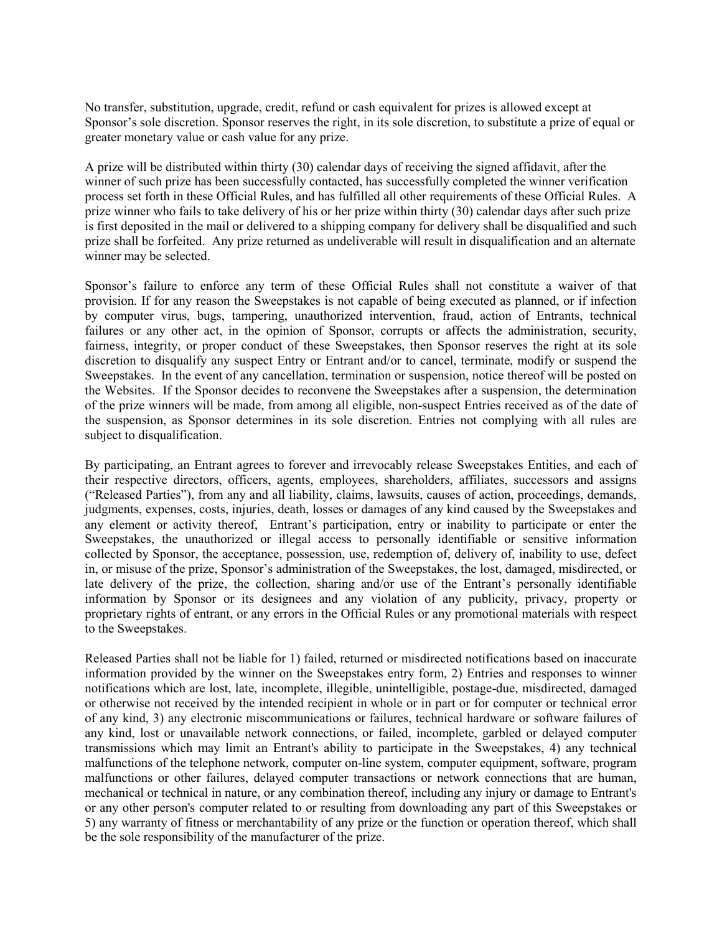No transfer, substitution, upgrade, credit, refund or cash equivalent for prizes is allowed except at Sponsor's sole discretion. Sponsor reserves the right, in its sole discretion, to substitute a prize of equal or greater monetary value or cash value for any prize.

A prize will be distributed within thirty (30) calendar days of receiving the signed affidavit, after the winner of such prize has been successfully contacted, has successfully completed the winner verification process set forth in these Official Rules, and has fulfilled all other requirements of these Official Rules. A prize winner who fails to take delivery of his or her prize within thirty (30) calendar days after such prize is first deposited in the mail or delivered to a shipping company for delivery shall be disqualified and such prize shall be forfeited. Any prize returned as undeliverable will result in disqualification and an alternate winner may be selected.

Sponsor's failure to enforce any term of these Official Rules shall not constitute a waiver of that provision. If for any reason the Sweepstakes is not capable of being executed as planned, or if infection by computer virus, bugs, tampering, unauthorized intervention, fraud, action of Entrants, technical failures or any other act, in the opinion of Sponsor, corrupts or affects the administration, security, fairness, integrity, or proper conduct of these Sweepstakes, then Sponsor reserves the right at its sole discretion to disqualify any suspect Entry or Entrant and/or to cancel, terminate, modify or suspend the Sweepstakes. In the event of any cancellation, termination or suspension, notice thereof will be posted on the Websites. If the Sponsor decides to reconvene the Sweepstakes after a suspension, the determination of the prize winners will be made, from among all eligible, non-suspect Entries received as of the date of the suspension, as Sponsor determines in its sole discretion. Entries not complying with all rules are subject to disqualification.

By participating, an Entrant agrees to forever and irrevocably release Sweepstakes Entities, and each of their respective directors, officers, agents, employees, shareholders, affiliates, successors and assigns ("Released Parties"), from any and all liability, claims, lawsuits, causes of action, proceedings, demands, judgments, expenses, costs, injuries, death, losses or damages of any kind caused by the Sweepstakes and any element or activity thereof, Entrant's participation, entry or inability to participate or enter the Sweepstakes, the unauthorized or illegal access to personally identifiable or sensitive information collected by Sponsor, the acceptance, possession, use, redemption of, delivery of, inability to use, defect in, or misuse of the prize, Sponsor's administration of the Sweepstakes, the lost, damaged, misdirected, or late delivery of the prize, the collection, sharing and/or use of the Entrant's personally identifiable information by Sponsor or its designees and any violation of any publicity, privacy, property or proprietary rights of entrant, or any errors in the Official Rules or any promotional materials with respect to the Sweepstakes.

Released Parties shall not be liable for 1) failed, returned or misdirected notifications based on inaccurate information provided by the winner on the Sweepstakes entry form, 2) Entries and responses to winner notifications which are lost, late, incomplete, illegible, unintelligible, postage-due, misdirected, damaged or otherwise not received by the intended recipient in whole or in part or for computer or technical error of any kind, 3) any electronic miscommunications or failures, technical hardware or software failures of any kind, lost or unavailable network connections, or failed, incomplete, garbled or delayed computer transmissions which may limit an Entrant's ability to participate in the Sweepstakes, 4) any technical malfunctions of the telephone network, computer on-line system, computer equipment, software, program malfunctions or other failures, delayed computer transactions or network connections that are human, mechanical or technical in nature, or any combination thereof, including any injury or damage to Entrant's or any other person's computer related to or resulting from downloading any part of this Sweepstakes or 5) any warranty of fitness or merchantability of any prize or the function or operation thereof, which shall be the sole responsibility of the manufacturer of the prize.